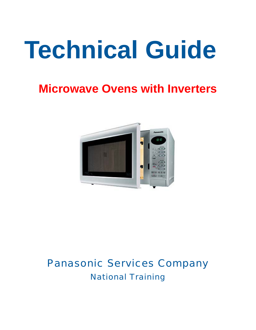# **Technical Guide**

# **Microwave Ovens with Inverters**



## Panasonic Services Company National Training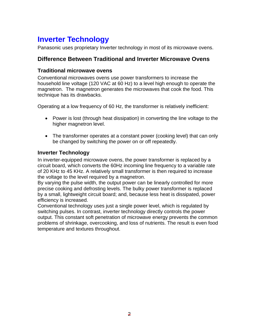## **Inverter Technology**

Panasonic uses proprietary Inverter technology in most of its microwave ovens.

#### **Difference Between Traditional and Inverter Microwave Ovens**

#### **Traditional microwave ovens**

Conventional microwaves ovens use power transformers to increase the household line voltage (120 VAC at 60 Hz) to a level high enough to operate the magnetron. The magnetron generates the microwaves that cook the food. This technique has its drawbacks.

Operating at a low frequency of 60 Hz, the transformer is relatively inefficient:

- Power is lost (through heat dissipation) in converting the line voltage to the higher magnetron level.
- The transformer operates at a constant power (cooking level) that can only be changed by switching the power on or off repeatedly.

#### **Inverter Technology**

In inverter-equipped microwave ovens, the power transformer is replaced by a circuit board, which converts the 60Hz incoming line frequency to a variable rate of 20 KHz to 45 KHz. A relatively small transformer is then required to increase the voltage to the level required by a magnetron.

By varying the pulse width, the output power can be linearly controlled for more precise cooking and defrosting levels. The bulky power transformer is replaced by a small, lightweight circuit board; and, because less heat is dissipated, power efficiency is increased.

Conventional technology uses just a single power level, which is regulated by switching pulses. In contrast, inverter technology directly controls the power output. This constant soft penetration of microwave energy prevents the common problems of shrinkage, overcooking, and loss of nutrients. The result is even food temperature and textures throughout.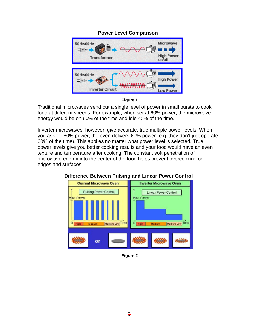#### **Power Level Comparison**



**Figure 1**

Traditional microwaves send out a single level of power in small bursts to cook food at different speeds. For example, when set at 60% power, the microwave energy would be on 60% of the time and idle 40% of the time.

Inverter microwaves, however, give accurate, true multiple power levels. When you ask for 60% power, the oven delivers 60% power (e.g. they don't just operate 60% of the time). This applies no matter what power level is selected. True power levels give you better cooking results and your food would have an even texture and temperature after cooking. The constant soft penetration of microwave energy into the center of the food helps prevent overcooking on edges and surfaces.



#### **Difference Between Pulsing and Linear Power Control**

**Figure 2**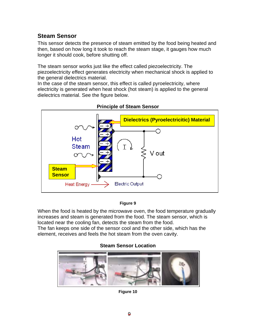#### **Steam Sensor**

This sensor detects the presence of steam emitted by the food being heated and then, based on how long it took to reach the steam stage, it gauges how much longer it should cook, before shutting off.

The steam sensor works just like the effect called piezoelectricity. The piezoelectricity effect generates electricity when mechanical shock is applied to the general dielectrics material.

In the case of the steam sensor, this effect is called pyroelectricity, where electricity is generated when heat shock (hot steam) is applied to the general dielectrics material. See the figure below.



**Principle of Steam Sensor** 

#### **Figure 9**

When the food is heated by the microwave oven, the food temperature gradually increases and steam is generated from the food. The steam sensor, which is located near the cooling fan, detects the steam from the food. The fan keeps one side of the sensor cool and the other side, which has the element, receives and feels the hot steam from the oven cavity.

#### **Steam Sensor Location**



**Figure 10**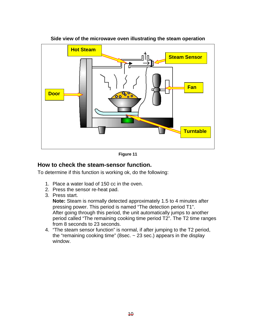

#### **Side view of the microwave oven illustrating the steam operation**

**Figure 11** 

#### **How to check the steam-sensor function.**

To determine if this function is working ok, do the following:

- 1. Place a water load of 150 cc in the oven.
- 2. Press the sensor re-heat pad.
- 3. Press start.

**Note:** Steam is normally detected approximately 1.5 to 4 minutes after pressing power. This period is named "The detection period T1". After going through this period, the unit automatically jumps to another period called "The remaining cooking time period T2". The T2 time ranges from 8 seconds to 23 seconds.

4. "The steam sensor function" is normal, if after jumping to the T2 period, the "remaining cooking time" (8sec.  $\sim$  23 sec.) appears in the display window.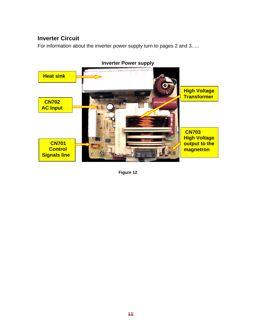#### **Inverter Circuit**

For information about the inverter power supply turn to pages 2 and 3.….



**Figure 12**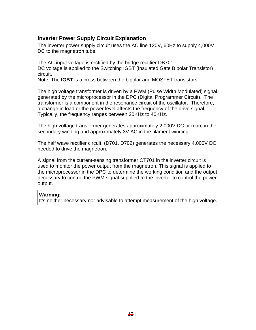#### **Inverter Power Supply Circuit Explanation**

The inverter power supply circuit uses the AC line 120V, 60Hz to supply 4,000V DC to the magnetron tube.

The AC input voltage is rectified by the bridge rectifier DB701 DC voltage is applied to the Switching IGBT (Insulated Gate Bipolar Transistor) circuit.

Note: The **IGBT** is a cross between the bipolar and MOSFET transistors.

The high voltage transformer is driven by a PWM (Pulse Width Modulated) signal generated by the microprocessor in the DPC (Digital Programmer Circuit). The transformer is a component in the resonance circuit of the oscillator. Therefore, a change in load or the power level affects the frequency of the drive signal. Typically, the frequency ranges between 20KHz to 40KHz.

The high voltage transformer generates approximately 2,000V DC or more in the secondary winding and approximately 3V AC in the filament winding.

The half wave rectifier circuit, (D701, D702) generates the necessary 4,000V DC needed to drive the magnetron.

A signal from the current-sensing transformer CT701 in the inverter circuit is used to monitor the power output from the magnetron. This signal is applied to the microprocessor in the DPC to determine the working condition and the output necessary to control the PWM signal supplied to the inverter to control the power output.

#### **Warning:**

It's neither necessary nor advisable to attempt measurement of the high voltage.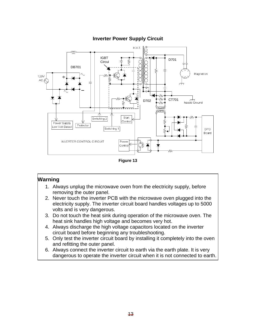#### **Inverter Power Supply Circuit**



**Figure 13** 

#### **Warning**

- 1. Always unplug the microwave oven from the electricity supply, before removing the outer panel.
- 2. Never touch the inverter PCB with the microwave oven plugged into the electricity supply. The inverter circuit board handles voltages up to 5000 volts and is very dangerous.
- 3. Do not touch the heat sink during operation of the microwave oven. The heat sink handles high voltage and becomes very hot.
- 4. Always discharge the high voltage capacitors located on the inverter circuit board before beginning any troubleshooting.
- 5. Only test the inverter circuit board by installing it completely into the oven and refitting the outer panel.
- 6. Always connect the inverter circuit to earth via the earth plate. It is very dangerous to operate the inverter circuit when it is not connected to earth.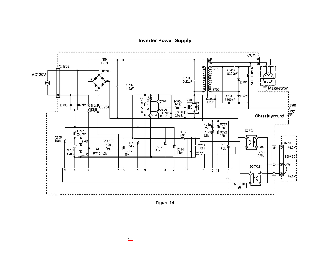**Inverter Power Supply**



**Figure 14**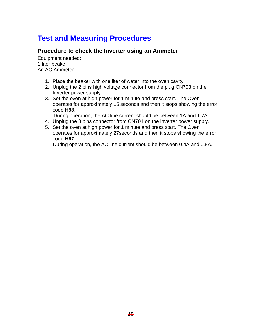### **Test and Measuring Procedures**

#### **Procedure to check the Inverter using an Ammeter**

Equipment needed: 1-liter beaker An AC Ammeter.

- 1. Place the beaker with one liter of water into the oven cavity.
- 2. Unplug the 2 pins high voltage connector from the plug CN703 on the Inverter power supply.
- 3. Set the oven at high power for 1 minute and press start. The Oven operates for approximately 15 seconds and then it stops showing the error code **H98**.

During operation, the AC line current should be between 1A and 1.7A.

- 4. Unplug the 3 pins connector from CN701 on the inverter power supply.
- 5. Set the oven at high power for 1 minute and press start. The Oven operates for approximately 27seconds and then it stops showing the error code **H97**.

During operation, the AC line current should be between 0.4A and 0.8A.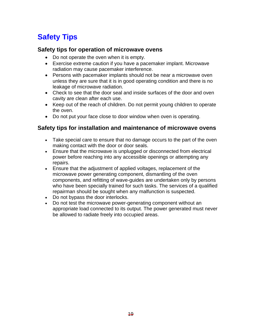## **Safety Tips**

#### **Safety tips for operation of microwave ovens**

- Do not operate the oven when it is empty.
- Exercise extreme caution if you have a pacemaker implant. Microwave radiation may cause pacemaker interference.
- Persons with pacemaker implants should not be near a microwave oven unless they are sure that it is in good operating condition and there is no leakage of microwave radiation.
- Check to see that the door seal and inside surfaces of the door and oven cavity are clean after each use.
- Keep out of the reach of children. Do not permit young children to operate the oven.
- Do not put your face close to door window when oven is operating.

#### **Safety tips for installation and maintenance of microwave ovens**

- Take special care to ensure that no damage occurs to the part of the oven making contact with the door or door seals.
- Ensure that the microwave is unplugged or disconnected from electrical power before reaching into any accessible openings or attempting any repairs.
- Ensure that the adjustment of applied voltages, replacement of the microwave power generating component, dismantling of the oven components, and refitting of wave-guides are undertaken only by persons who have been specially trained for such tasks. The services of a qualified repairman should be sought when any malfunction is suspected.
- Do not bypass the door interlocks.
- Do not test the microwave power-generating component without an appropriate load connected to its output. The power generated must never be allowed to radiate freely into occupied areas.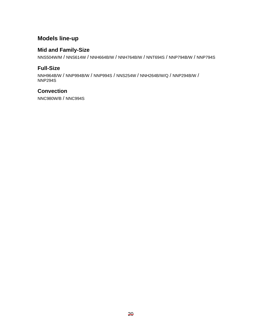#### **Models line-up**

#### **Mid and Family-Size**

NNS504W/M / NNS614W / NNH664B/W / NNH764B/W / NNT694S / NNP794B/W / NNP794S

#### **Full-Size**

NNH964B/W / NNP994B/W / NNP994S / NNS254W / NNH264B/W/Q / NNP294B/W / NNP294S

#### **Convection**

NNC980W/B / NNC994S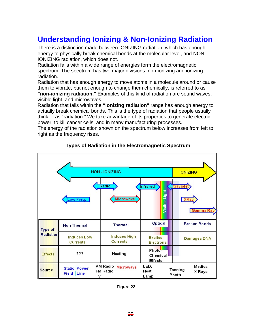## **Understanding Ionizing & Non-Ionizing Radiation**

There is a distinction made between IONIZING radiation, which has enough energy to physically break chemical bonds at the molecular level, and NON-IONIZING radiation, which does not.

Radiation falls within a wide range of energies form the electromagnetic spectrum. The spectrum has two major divisions: non-ionizing and ionizing radiation.

Radiation that has enough energy to move atoms in a molecule around or cause them to vibrate, but not enough to change them chemically, is referred to as

**"non-ionizing radiation."** Examples of this kind of radiation are sound waves, visible light, and microwaves.

Radiation that falls within the **"ionizing radiation"** range has enough energy to actually break chemical bonds. This is the type of radiation that people usually think of as "radiation." We take advantage of its properties to generate electric power, to kill cancer cells, and in many manufacturing processes.

The energy of the radiation shown on the spectrum below increases from left to right as the frequency rises.

|                | <b>IONIZING</b>                       |                                                 |                                    |                                        |
|----------------|---------------------------------------|-------------------------------------------------|------------------------------------|----------------------------------------|
|                | Low Freq.                             | Radio<br><b>Microwave</b>                       | <b>Infrared</b><br>Visible Light   | <b>Ultraviolet</b><br>XRay<br>Gamma Ra |
| Type of        | <b>Non Thermal</b>                    | <b>Thermal</b>                                  | Optical                            | <b>Broken Bonds</b>                    |
| Radiation      | <b>Induces Low</b><br><b>Currents</b> | <b>Induces High</b><br><b>Currents</b>          | <b>Excites</b><br><b>Electrons</b> | Damages DNA                            |
| <b>Effects</b> | ???                                   | Heating                                         | Photo-<br>Chemical<br>Effects      |                                        |
| <b>Source</b>  | Static Power<br>Field<br>Line<br>т٧   | AM Radio<br><b>Microwave</b><br><b>FM Radio</b> | LED,<br>Heat<br>Lamp               | Medical<br>Tanning<br>X-Rays<br>Booth  |

#### **Types of Radiation in the Electromagnetic Spectrum**

**Figure 22**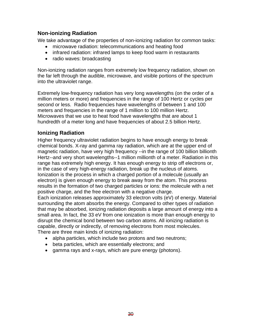#### **Non-ionizing Radiation**

We take advantage of the properties of non-ionizing radiation for common tasks:

- microwave radiation: telecommunications and heating food
- infrared radiation: infrared lamps to keep food warm in restaurants
- radio waves: broadcasting

Non-ionizing radiation ranges from extremely low frequency radiation, shown on the far left through the audible, microwave, and visible portions of the spectrum into the ultraviolet range.

Extremely low-frequency radiation has very long wavelengths (on the order of a million meters or more) and frequencies in the range of 100 Hertz or cycles per second or less. Radio frequencies have wavelengths of between 1 and 100 meters and frequencies in the range of 1 million to 100 million Hertz. Microwaves that we use to heat food have wavelengths that are about 1 hundredth of a meter long and have frequencies of about 2.5 billion Hertz.

#### **Ionizing Radiation**

Higher frequency ultraviolet radiation begins to have enough energy to break chemical bonds. X-ray and gamma ray radiation, which are at the upper end of magnetic radiation, have very high frequency --in the range of 100 billion billionth Hertz--and very short wavelengths--1 million millionth of a meter. Radiation in this range has extremely high energy. It has enough energy to strip off electrons or, in the case of very high-energy radiation, break up the nucleus of atoms. Ionization is the process in which a charged portion of a molecule (usually an electron) is given enough energy to break away from the atom. This process results in the formation of two charged particles or ions: the molecule with a net positive charge, and the free electron with a negative charge.

Each ionization releases approximately 33 electron volts (eV) of energy. Material surrounding the atom absorbs the energy. Compared to other types of radiation that may be absorbed, ionizing radiation deposits a large amount of energy into a small area. In fact, the 33 eV from one ionization is more than enough energy to disrupt the chemical bond between two carbon atoms. All ionizing radiation is capable, directly or indirectly, of removing electrons from most molecules. There are three main kinds of ionizing radiation:

- alpha particles, which include two protons and two neutrons;
- beta particles, which are essentially electrons; and
- gamma rays and x-rays, which are pure energy (photons).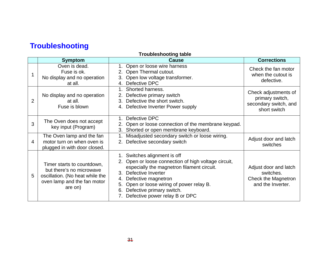## **Troubleshooting**

| <b>Troubleshooting table</b> |                                                                                                                                     |                                                                                                                                                                                                                                                                                                                          |                                                                                  |  |  |  |  |
|------------------------------|-------------------------------------------------------------------------------------------------------------------------------------|--------------------------------------------------------------------------------------------------------------------------------------------------------------------------------------------------------------------------------------------------------------------------------------------------------------------------|----------------------------------------------------------------------------------|--|--|--|--|
|                              | <b>Symptom</b>                                                                                                                      | <b>Cause</b>                                                                                                                                                                                                                                                                                                             | <b>Corrections</b>                                                               |  |  |  |  |
|                              | Oven is dead.<br>Fuse is ok.<br>No display and no operation<br>at all.                                                              | 1. Open or loose wire harness<br>2. Open Thermal cutout.<br>3. Open low voltage transformer.<br>4. Defective DPC                                                                                                                                                                                                         | Check the fan motor<br>when the cutout is<br>defective.                          |  |  |  |  |
| $\overline{2}$               | No display and no operation<br>at all.<br>Fuse is blown                                                                             | Shorted harness.<br>$1_{-}$<br>Defective primary switch<br>2.<br>Defective the short switch.<br>3.<br>Defective Inverter Power supply<br>4.                                                                                                                                                                              | Check adjustments of<br>primary switch,<br>secondary switch, and<br>short switch |  |  |  |  |
| 3                            | The Oven does not accept<br>key input (Program)                                                                                     | Defective DPC<br>2. Open or loose connection of the membrane keypad.<br>3. Shorted or open membrane keyboard.                                                                                                                                                                                                            |                                                                                  |  |  |  |  |
| 4                            | The Oven lamp and the fan<br>motor turn on when oven is<br>plugged in with door closed.                                             | Misadjusted secondary switch or loose wiring.<br>2. Defective secondary switch                                                                                                                                                                                                                                           | Adjust door and latch<br>switches                                                |  |  |  |  |
| 5                            | Timer starts to countdown,<br>but there's no microwave<br>oscillation. (No heat while the<br>oven lamp and the fan motor<br>are on) | 1. Switches alignment is off<br>2. Open or loose connection of high voltage circuit,<br>especially the magnetron filament circuit.<br>Defective Inverter<br>$3_{-}$<br>Defective magnetron<br>4.<br>Open or loose wiring of power relay B.<br>5.<br>Defective primary switch.<br>6.<br>7. Defective power relay B or DPC | Adjust door and latch<br>switches.<br>Check the Magnetron<br>and the Inverter.   |  |  |  |  |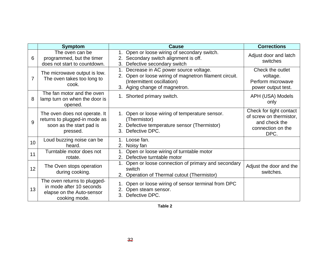|    | <b>Symptom</b>                                                                                         | <b>Cause</b>                                                                                                                                                  | <b>Corrections</b>                                                                               |
|----|--------------------------------------------------------------------------------------------------------|---------------------------------------------------------------------------------------------------------------------------------------------------------------|--------------------------------------------------------------------------------------------------|
| 6  | The oven can be<br>programmed, but the timer<br>does not start to countdown.                           | 1. Open or loose wiring of secondary switch.<br>2. Secondary switch alignment is off.<br>3. Defective secondary switch                                        | Adjust door and latch<br>switches                                                                |
| 7  | The microwave output is low.<br>The oven takes too long to<br>cook.                                    | Decrease in AC power source voltage.<br>2. Open or loose wiring of magnetron filament circuit.<br>(Intermittent oscillation)<br>3. Aging change of magnetron. | Check the outlet<br>voltage.<br>Perform microwave<br>power output test.                          |
| 8  | The fan motor and the oven<br>lamp turn on when the door is<br>opened.                                 | 1. Shorted primary switch.                                                                                                                                    | APH (USA) Models<br>only                                                                         |
| 9  | The oven does not operate. It<br>returns to plugged-in mode as<br>soon as the start pad is<br>pressed. | 1. Open or loose wiring of temperature sensor.<br>(Thermistor)<br>2. Defective temperature sensor (Thermistor)<br>3. Defective DPC.                           | Check for tight contact<br>of screw on thermistor,<br>and check the<br>connection on the<br>DPC. |
| 10 | Loud buzzing noise can be<br>heard.                                                                    | 1.<br>Loose fan.<br>2.<br>Noisy fan                                                                                                                           |                                                                                                  |
| 11 | Turntable motor does not<br>rotate.                                                                    | Open or loose wiring of turntable motor<br>2. Defective turntable motor                                                                                       |                                                                                                  |
| 12 | The Oven stops operation<br>during cooking.                                                            | 1. Open or loose connection of primary and secondary<br>switch<br>2. Operation of Thermal cutout (Thermistor)                                                 | Adjust the door and the<br>switches.                                                             |
| 13 | The oven returns to plugged-<br>in mode after 10 seconds<br>elapse on the Auto-sensor<br>cooking mode. | 1. Open or loose wiring of sensor terminal from DPC<br>2. Open steam sensor.<br>Defective DPC.<br>3.                                                          |                                                                                                  |

**Table 2**